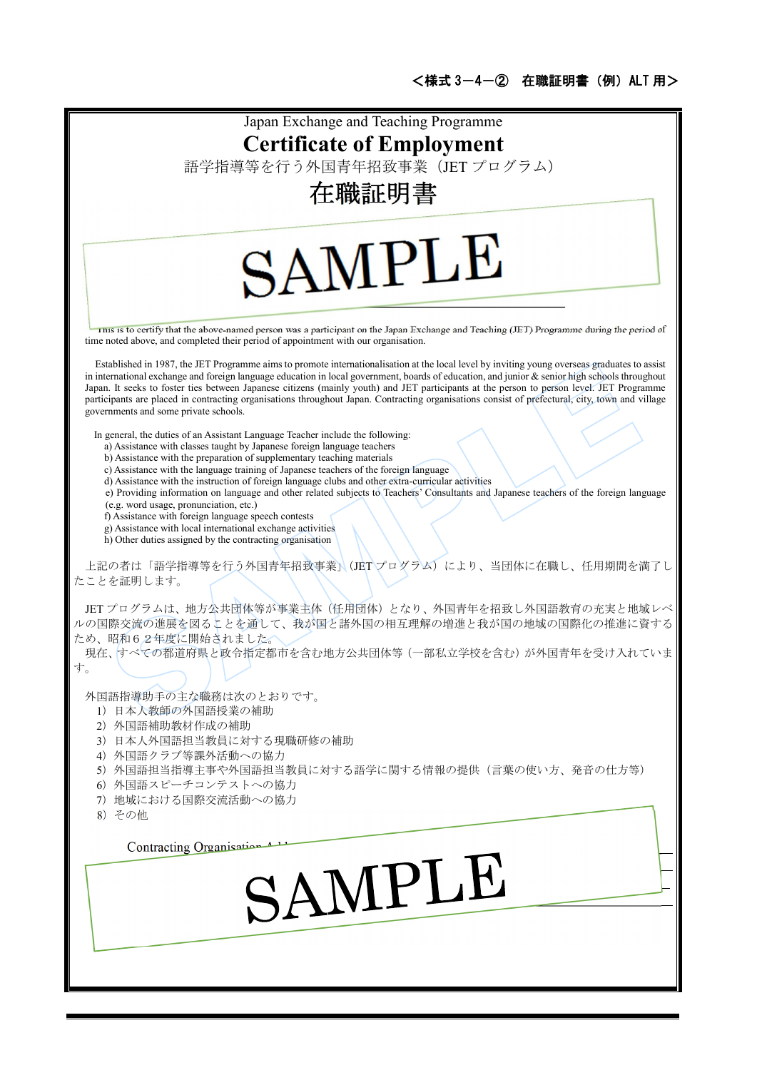| Japan Exchange and Teaching Programme                                                                                                                                                                                                                                                              |
|----------------------------------------------------------------------------------------------------------------------------------------------------------------------------------------------------------------------------------------------------------------------------------------------------|
| <b>Certificate of Employment</b>                                                                                                                                                                                                                                                                   |
| 語学指導等を行う外国青年招致事業 (JET プログラム)                                                                                                                                                                                                                                                                       |
| 在職証明書                                                                                                                                                                                                                                                                                              |
|                                                                                                                                                                                                                                                                                                    |
|                                                                                                                                                                                                                                                                                                    |
| SAMPLE                                                                                                                                                                                                                                                                                             |
|                                                                                                                                                                                                                                                                                                    |
|                                                                                                                                                                                                                                                                                                    |
| I ms is to certify that the above-named person was a participant on the Japan Exchange and Teaching (JET) Programme during the period of                                                                                                                                                           |
| time noted above, and completed their period of appointment with our organisation.                                                                                                                                                                                                                 |
| Established in 1987, the JET Programme aims to promote internationalisation at the local level by inviting young overseas graduates to assist<br>in international exchange and foreign language education in local government, boards of education, and junior $\&$ senior high schools throughout |
| Japan. It seeks to foster ties between Japanese citizens (mainly youth) and JET participants at the person to person level. JET Programme<br>participants are placed in contracting organisations throughout Japan. Contracting organisations consist of prefectural, city, town and village       |
| governments and some private schools.                                                                                                                                                                                                                                                              |
| In general, the duties of an Assistant Language Teacher include the following:<br>a) Assistance with classes taught by Japanese foreign language teachers                                                                                                                                          |
| b) Assistance with the preparation of supplementary teaching materials<br>c) Assistance with the language training of Japanese teachers of the foreign language                                                                                                                                    |
| d) Assistance with the instruction of foreign language clubs and other extra-curricular activities<br>e) Providing information on language and other related subjects to Teachers' Consultants and Japanese teachers of the foreign language                                                       |
| (e.g. word usage, pronunciation, etc.)                                                                                                                                                                                                                                                             |
| f) Assistance with foreign language speech contests<br>g) Assistance with local international exchange activities                                                                                                                                                                                  |
| h) Other duties assigned by the contracting organisation                                                                                                                                                                                                                                           |
| 上記の者は「語学指導等を行う外国青年招致事業」(JETプログラム)により、当団体に在職し、任用期間を満了<br>たことを証明します。                                                                                                                                                                                                                                 |
| JET プログラムは、地方公共団体等が事業主体(任用団体)となり、外国青年を招致し外国語教育の充実と地域レベ                                                                                                                                                                                                                                             |
| ルの国際交流の進展を図ることを通して、我が国と諸外国の相互理解の増進と我が国の地域の国際化の推進に資する                                                                                                                                                                                                                                               |
| ため、昭和62年度に開始されました。<br>現在、すべての都道府県と政令指定都市を含む地方公共団体等 (一部私立学校を含む) が外国青年を受け入れていま                                                                                                                                                                                                                       |
| す。                                                                                                                                                                                                                                                                                                 |
| 外国語指導助手の主な職務は次のとおりです。                                                                                                                                                                                                                                                                              |
| 1) 日本人教師の外国語授業の補助                                                                                                                                                                                                                                                                                  |
| 2) 外国語補助教材作成の補助<br>3) 日本人外国語担当教員に対する現職研修の補助                                                                                                                                                                                                                                                        |
| 4) 外国語クラブ等課外活動への協力                                                                                                                                                                                                                                                                                 |
| 5) 外国語担当指導主事や外国語担当教員に対する語学に関する情報の提供(言葉の使い方、発音の仕方等)<br>6) 外国語スピーチコンテストへの協力                                                                                                                                                                                                                          |
| 7) 地域における国際交流活動への協力<br>8) その他                                                                                                                                                                                                                                                                      |
|                                                                                                                                                                                                                                                                                                    |
| Contracting Organisation                                                                                                                                                                                                                                                                           |
| SAMPLE                                                                                                                                                                                                                                                                                             |
|                                                                                                                                                                                                                                                                                                    |
|                                                                                                                                                                                                                                                                                                    |
|                                                                                                                                                                                                                                                                                                    |
|                                                                                                                                                                                                                                                                                                    |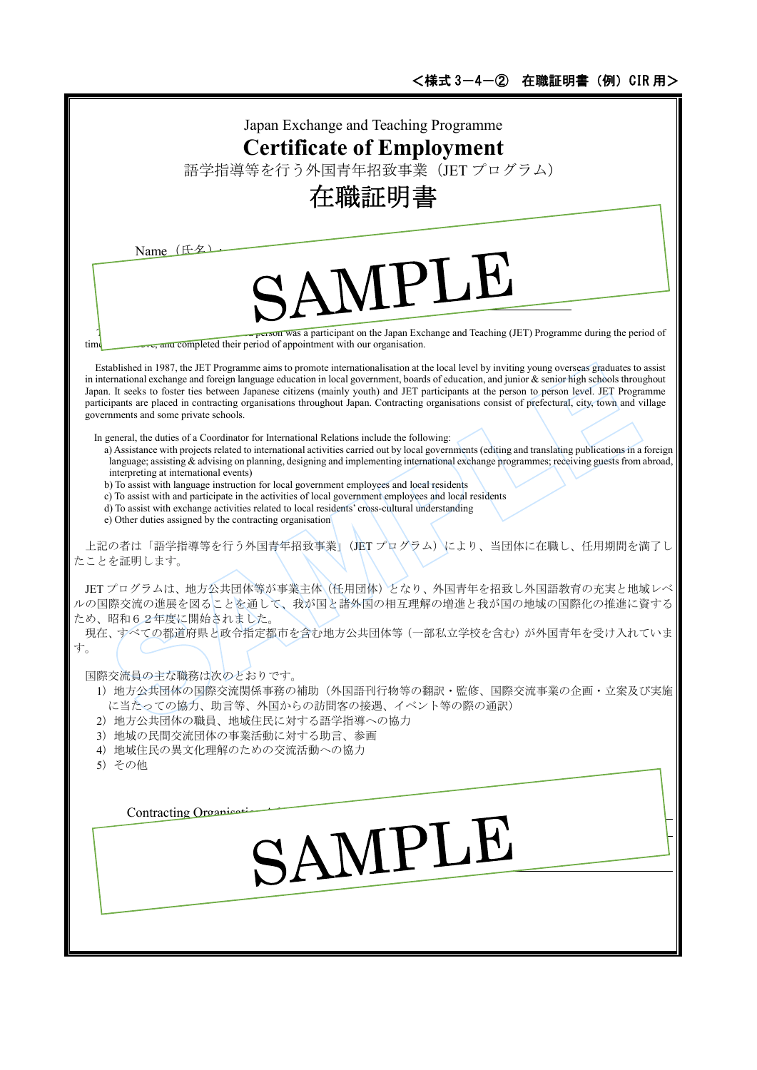T

| Japan Exchange and Teaching Programme<br><b>Certificate of Employment</b><br>語学指導等を行う外国青年招致事業 (JET プログラム)<br>在職証明書                                                                                                                                                                                                                                                                                                                                                                                                                                                                                                                                                                                                                                                                                        |
|-----------------------------------------------------------------------------------------------------------------------------------------------------------------------------------------------------------------------------------------------------------------------------------------------------------------------------------------------------------------------------------------------------------------------------------------------------------------------------------------------------------------------------------------------------------------------------------------------------------------------------------------------------------------------------------------------------------------------------------------------------------------------------------------------------------|
| Name (氏夕<br>SAMPLE<br>person was a participant on the Japan Exchange and Teaching (JET) Programme during the period of                                                                                                                                                                                                                                                                                                                                                                                                                                                                                                                                                                                                                                                                                    |
| ove, and completed their period of appointment with our organisation.<br>time<br>Established in 1987, the JET Programme aims to promote internationalisation at the local level by inviting young overseas graduates to assist<br>in international exchange and foreign language education in local government, boards of education, and junior $\&$ senior high schools throughout<br>Japan. It seeks to foster ties between Japanese citizens (mainly youth) and JET participants at the person to person level. JET Programme<br>participants are placed in contracting organisations throughout Japan. Contracting organisations consist of prefectural, city, town and village<br>governments and some private schools.                                                                              |
| In general, the duties of a Coordinator for International Relations include the following:<br>a) Assistance with projects related to international activities carried out by local governments (editing and translating publications in a foreign<br>language; assisting & advising on planning, designing and implementing international exchange programmes; receiving guests from abroad,<br>interpreting at international events)<br>b) To assist with language instruction for local government employees and local residents<br>c) To assist with and participate in the activities of local government employees and local residents<br>d) To assist with exchange activities related to local residents' cross-cultural understanding<br>e) Other duties assigned by the contracting organisation |
| 上記の者は「語学指導等を行う外国青年招致事業」(JET プログラム)により、当団体に在職し、任用期間を満了し<br>たことを証明します。<br>JET プログラムは、地方公共団体等が事業主体(任用団体)となり、外国青年を招致し外国語教育の充実と地域レベ<br>ルの国際交流の進展を図ることを通して、我が国と諸外国の相互理解の増進と我が国の地域の国際化の推進に資する<br>ため、昭和62年度に開始されました。<br>現在、すべての都道府県と政令指定都市を含む地方公共団体等 (一部私立学校を含む) が外国青年を受け入れていま<br>す。<br>国際交流員の主な職務は次のとおりです。<br>1) 地方公共団体の国際交流関係事務の補助(外国語刊行物等の翻訳·監修、国際交流事業の企画·立案及び実施<br>に当たっての協力、助言等、外国からの訪問客の接遇、イベント等の際の通訳)<br>2) 地方公共団体の職員、地域住民に対する語学指導への協力                                                                                                                                                                                                                                                                                                                                                                      |
| 3) 地域の民間交流団体の事業活動に対する助言、参画<br>4) 地域住民の異文化理解のための交流活動への協力<br>5) その他<br>Contracting Organicati<br>SAMPLE                                                                                                                                                                                                                                                                                                                                                                                                                                                                                                                                                                                                                                                                                                     |